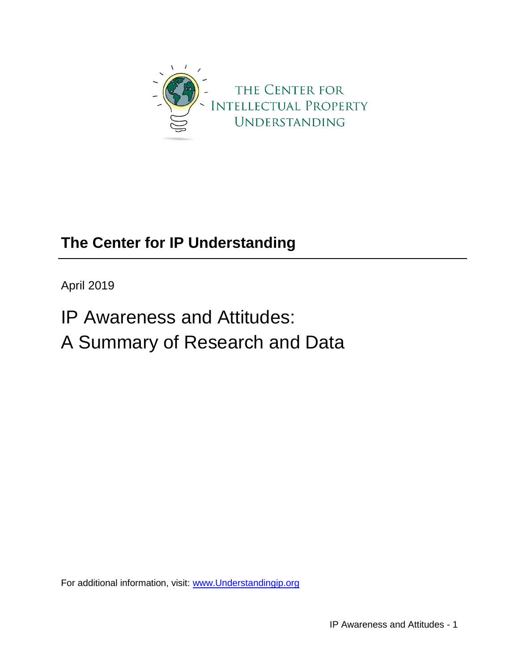

# **The Center for IP Understanding**

April 2019

IP Awareness and Attitudes: A Summary of Research and Data

For additional information, visit: [www.Understandingip.org](file:///F:/www.Understandingip.org)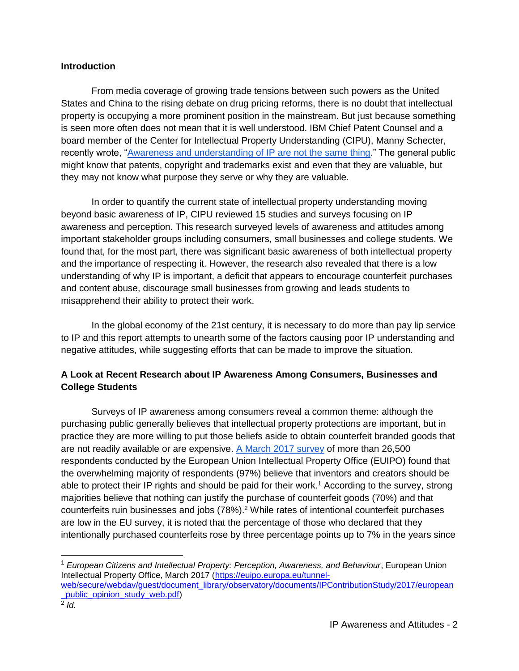#### **Introduction**

From media coverage of growing trade tensions between such powers as the United States and China to the rising debate on drug pricing reforms, there is no doubt that intellectual property is occupying a more prominent position in the mainstream. But just because something is seen more often does not mean that it is well understood. IBM Chief Patent Counsel and a board member of the Center for Intellectual Property Understanding (CIPU), Manny Schecter, recently wrote, ["Awareness and understanding of IP are not the same thing.](https://www.ipwatchdog.com/2019/02/03/closing-gap-intellectual-property-awareness-understanding/id=105866/)" The general public might know that patents, copyright and trademarks exist and even that they are valuable, but they may not know what purpose they serve or why they are valuable.

In order to quantify the current state of intellectual property understanding moving beyond basic awareness of IP, CIPU reviewed 15 studies and surveys focusing on IP awareness and perception. This research surveyed levels of awareness and attitudes among important stakeholder groups including consumers, small businesses and college students. We found that, for the most part, there was significant basic awareness of both intellectual property and the importance of respecting it. However, the research also revealed that there is a low understanding of why IP is important, a deficit that appears to encourage counterfeit purchases and content abuse, discourage small businesses from growing and leads students to misapprehend their ability to protect their work.

In the global economy of the 21st century, it is necessary to do more than pay lip service to IP and this report attempts to unearth some of the factors causing poor IP understanding and negative attitudes, while suggesting efforts that can be made to improve the situation.

### **A Look at Recent Research about IP Awareness Among Consumers, Businesses and College Students**

Surveys of IP awareness among consumers reveal a common theme: although the purchasing public generally believes that intellectual property protections are important, but in practice they are more willing to put those beliefs aside to obtain counterfeit branded goods that are not readily available or are expensive. [A March 2017 survey](https://euipo.europa.eu/tunnel-web/secure/webdav/guest/document_library/observatory/documents/IPContributionStudy/2017/european_public_opinion_study_web.pdf) of more than 26,500 respondents conducted by the European Union Intellectual Property Office (EUIPO) found that the overwhelming majority of respondents (97%) believe that inventors and creators should be able to protect their IP rights and should be paid for their work.<sup>1</sup> According to the survey, strong majorities believe that nothing can justify the purchase of counterfeit goods (70%) and that counterfeits ruin businesses and jobs (78%).<sup>2</sup> While rates of intentional counterfeit purchases are low in the EU survey, it is noted that the percentage of those who declared that they intentionally purchased counterfeits rose by three percentage points up to 7% in the years since

<sup>1</sup> *European Citizens and Intellectual Property: Perception, Awareness, and Behaviour*, European Union Intellectual Property Office, March 2017 [\(https://euipo.europa.eu/tunnel](https://euipo.europa.eu/tunnel-web/secure/webdav/guest/document_library/observatory/documents/IPContributionStudy/2017/european_public_opinion_study_web.pdf)web/secure/webdav/quest/document\_library/observatory/documents/IPContributionStudy/2017/european [\\_public\\_opinion\\_study\\_web.pdf\)](https://euipo.europa.eu/tunnel-web/secure/webdav/guest/document_library/observatory/documents/IPContributionStudy/2017/european_public_opinion_study_web.pdf) 2 *Id.*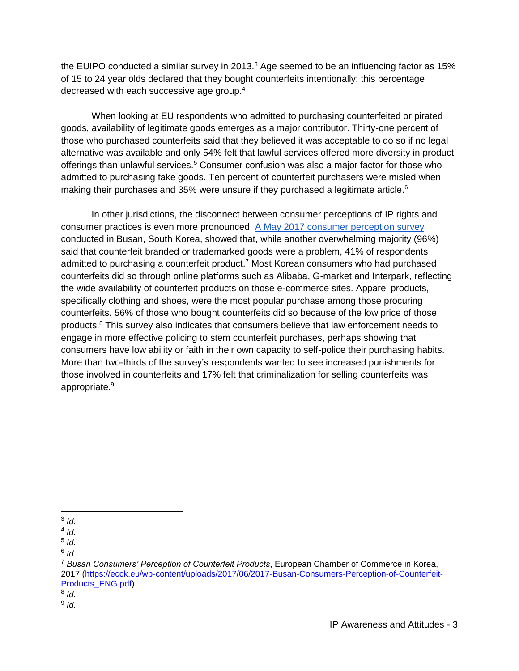the EUIPO conducted a similar survey in 2013. $3$  Age seemed to be an influencing factor as 15% of 15 to 24 year olds declared that they bought counterfeits intentionally; this percentage decreased with each successive age group.<sup>4</sup>

When looking at EU respondents who admitted to purchasing counterfeited or pirated goods, availability of legitimate goods emerges as a major contributor. Thirty-one percent of those who purchased counterfeits said that they believed it was acceptable to do so if no legal alternative was available and only 54% felt that lawful services offered more diversity in product offerings than unlawful services.<sup>5</sup> Consumer confusion was also a major factor for those who admitted to purchasing fake goods. Ten percent of counterfeit purchasers were misled when making their purchases and 35% were unsure if they purchased a legitimate article.<sup>6</sup>

In other jurisdictions, the disconnect between consumer perceptions of IP rights and consumer practices is even more pronounced. [A May 2017 consumer perception survey](https://ecck.eu/wp-content/uploads/2017/06/2017-Busan-Consumers-Perception-of-Counterfeit-Products_ENG.pdf) conducted in Busan, South Korea, showed that, while another overwhelming majority (96%) said that counterfeit branded or trademarked goods were a problem, 41% of respondents admitted to purchasing a counterfeit product.<sup>7</sup> Most Korean consumers who had purchased counterfeits did so through online platforms such as Alibaba, G-market and Interpark, reflecting the wide availability of counterfeit products on those e-commerce sites. Apparel products, specifically clothing and shoes, were the most popular purchase among those procuring counterfeits. 56% of those who bought counterfeits did so because of the low price of those products.<sup>8</sup> This survey also indicates that consumers believe that law enforcement needs to engage in more effective policing to stem counterfeit purchases, perhaps showing that consumers have low ability or faith in their own capacity to self-police their purchasing habits. More than two-thirds of the survey's respondents wanted to see increased punishments for those involved in counterfeits and 17% felt that criminalization for selling counterfeits was appropriate.<sup>9</sup>

 $\overline{a}$ 3 *Id.*

<sup>4</sup> *Id.*

<sup>5</sup> *Id.*

<sup>6</sup> *Id.*

<sup>7</sup> *Busan Consumers' Perception of Counterfeit Products*, European Chamber of Commerce in Korea, 2017 [\(https://ecck.eu/wp-content/uploads/2017/06/2017-Busan-Consumers-Perception-of-Counterfeit-](https://ecck.eu/wp-content/uploads/2017/06/2017-Busan-Consumers-Perception-of-Counterfeit-Products_ENG.pdf)[Products\\_ENG.pdf\)](https://ecck.eu/wp-content/uploads/2017/06/2017-Busan-Consumers-Perception-of-Counterfeit-Products_ENG.pdf)

<sup>8</sup> *Id.*

<sup>9</sup> *Id.*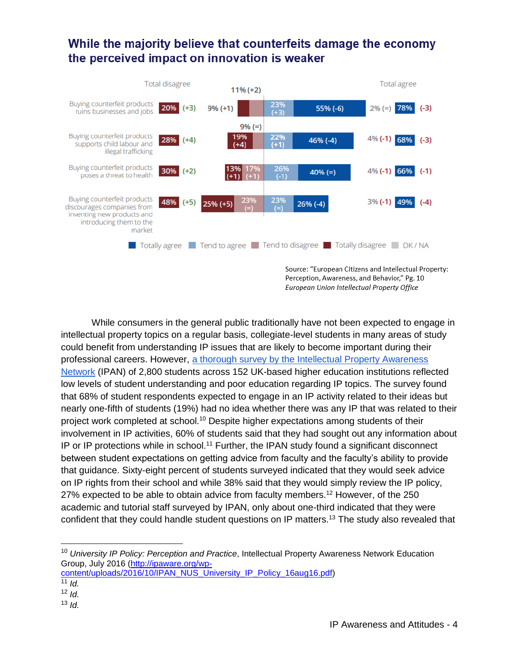### While the majority believe that counterfeits damage the economy the perceived impact on innovation is weaker



Perception, Awareness, and Behavior," Pg. 10 European Union Intellectual Property Office

While consumers in the general public traditionally have not been expected to engage in intellectual property topics on a regular basis, collegiate-level students in many areas of study could benefit from understanding IP issues that are likely to become important during their professional careers. However, [a thorough survey by the Intellectual Property Awareness](http://ipaware.org/wp-content/uploads/2016/10/IPAN_NUS_University_IP_Policy_16aug16.pdf)  [Network](http://ipaware.org/wp-content/uploads/2016/10/IPAN_NUS_University_IP_Policy_16aug16.pdf) (IPAN) of 2,800 students across 152 UK-based higher education institutions reflected low levels of student understanding and poor education regarding IP topics. The survey found that 68% of student respondents expected to engage in an IP activity related to their ideas but nearly one-fifth of students (19%) had no idea whether there was any IP that was related to their project work completed at school.<sup>10</sup> Despite higher expectations among students of their involvement in IP activities, 60% of students said that they had sought out any information about IP or IP protections while in school.<sup>11</sup> Further, the IPAN study found a significant disconnect between student expectations on getting advice from faculty and the faculty's ability to provide that guidance. Sixty-eight percent of students surveyed indicated that they would seek advice on IP rights from their school and while 38% said that they would simply review the IP policy, 27% expected to be able to obtain advice from faculty members.<sup>12</sup> However, of the 250 academic and tutorial staff surveyed by IPAN, only about one-third indicated that they were confident that they could handle student questions on IP matters.<sup>13</sup> The study also revealed that

<sup>10</sup> *University IP Policy: Perception and Practice*, Intellectual Property Awareness Network Education Group, July 2016 [\(http://ipaware.org/wp-](http://ipaware.org/wp-content/uploads/2016/10/IPAN_NUS_University_IP_Policy_16aug16.pdf)

[content/uploads/2016/10/IPAN\\_NUS\\_University\\_IP\\_Policy\\_16aug16.pdf\)](http://ipaware.org/wp-content/uploads/2016/10/IPAN_NUS_University_IP_Policy_16aug16.pdf)  $11$  *Id.* 

<sup>12</sup> *Id.*

 $13$  *Id.*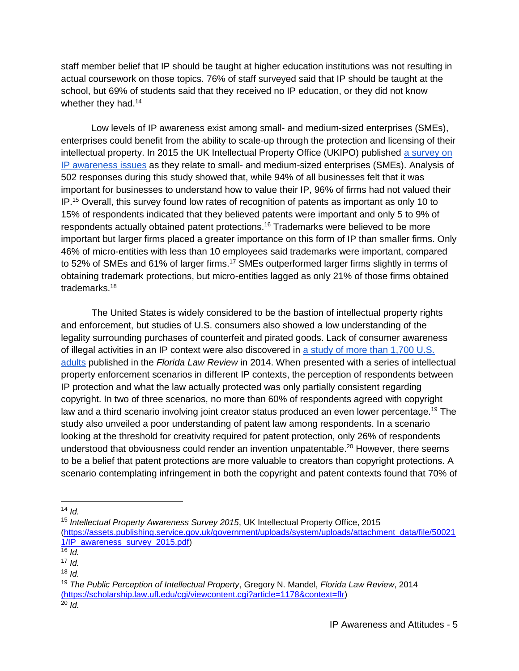staff member belief that IP should be taught at higher education institutions was not resulting in actual coursework on those topics. 76% of staff surveyed said that IP should be taught at the school, but 69% of students said that they received no IP education, or they did not know whether they had.<sup>14</sup>

Low levels of IP awareness exist among small- and medium-sized enterprises (SMEs), enterprises could benefit from the ability to scale-up through the protection and licensing of their intellectual property. In 2015 the UK Intellectual Property Office (UKIPO) published [a survey on](https://assets.publishing.service.gov.uk/government/uploads/system/uploads/attachment_data/file/500211/IP_awareness_survey_2015.pdf)  [IP awareness issues](https://assets.publishing.service.gov.uk/government/uploads/system/uploads/attachment_data/file/500211/IP_awareness_survey_2015.pdf) as they relate to small- and medium-sized enterprises (SMEs). Analysis of 502 responses during this study showed that, while 94% of all businesses felt that it was important for businesses to understand how to value their IP, 96% of firms had not valued their IP.<sup>15</sup> Overall, this survey found low rates of recognition of patents as important as only 10 to 15% of respondents indicated that they believed patents were important and only 5 to 9% of respondents actually obtained patent protections.<sup>16</sup> Trademarks were believed to be more important but larger firms placed a greater importance on this form of IP than smaller firms. Only 46% of micro-entities with less than 10 employees said trademarks were important, compared to 52% of SMEs and 61% of larger firms.<sup>17</sup> SMEs outperformed larger firms slightly in terms of obtaining trademark protections, but micro-entities lagged as only 21% of those firms obtained trademarks.<sup>18</sup>

The United States is widely considered to be the bastion of intellectual property rights and enforcement, but studies of U.S. consumers also showed a low understanding of the legality surrounding purchases of counterfeit and pirated goods. Lack of consumer awareness of illegal activities in an IP context were also discovered in [a study of more than 1,700 U.S.](https://scholarship.law.ufl.edu/cgi/viewcontent.cgi?article=1178&context=flr)  [adults](https://scholarship.law.ufl.edu/cgi/viewcontent.cgi?article=1178&context=flr) published in the *Florida Law Review* in 2014. When presented with a series of intellectual property enforcement scenarios in different IP contexts, the perception of respondents between IP protection and what the law actually protected was only partially consistent regarding copyright. In two of three scenarios, no more than 60% of respondents agreed with copyright law and a third scenario involving joint creator status produced an even lower percentage.<sup>19</sup> The study also unveiled a poor understanding of patent law among respondents. In a scenario looking at the threshold for creativity required for patent protection, only 26% of respondents understood that obviousness could render an invention unpatentable.<sup>20</sup> However, there seems to be a belief that patent protections are more valuable to creators than copyright protections. A scenario contemplating infringement in both the copyright and patent contexts found that 70% of

 $\overline{a}$ 

<sup>15</sup> *Intellectual Property Awareness Survey 2015*, UK Intellectual Property Office, 2015 [\(https://assets.publishing.service.gov.uk/government/uploads/system/uploads/attachment\\_data/file/50021](https://assets.publishing.service.gov.uk/government/uploads/system/uploads/attachment_data/file/500211/IP_awareness_survey_2015.pdf) [1/IP\\_awareness\\_survey\\_2015.pdf\)](https://assets.publishing.service.gov.uk/government/uploads/system/uploads/attachment_data/file/500211/IP_awareness_survey_2015.pdf)

 $14$  *Id.* 

 $\overline{16}$  *Id.* 

<sup>17</sup> *Id.*

 $18$  *Id.* 

<sup>19</sup> *The Public Perception of Intellectual Property*, Gregory N. Mandel, *Florida Law Review*, 2014 [\(https://scholarship.law.ufl.edu/cgi/viewcontent.cgi?article=1178&context=flr\)](file:///F:/(https:/scholarship.law.ufl.edu/cgi/viewcontent.cgi%3farticle=1178&context=flr)

 $^{20}$  *Id.*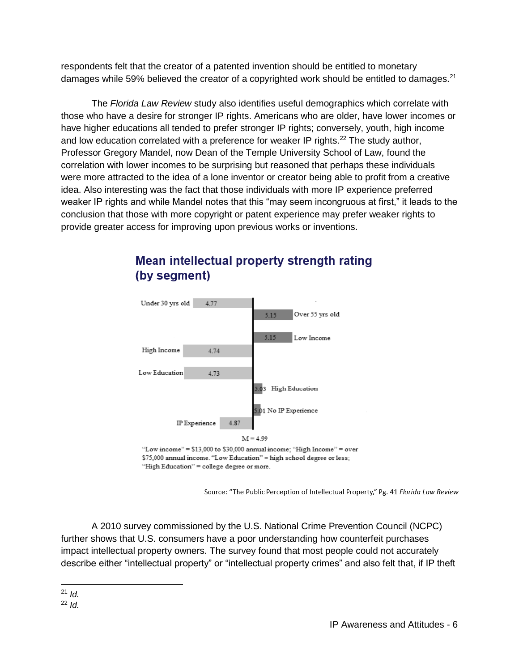respondents felt that the creator of a patented invention should be entitled to monetary damages while 59% believed the creator of a copyrighted work should be entitled to damages.<sup>21</sup>

The *Florida Law Review* study also identifies useful demographics which correlate with those who have a desire for stronger IP rights. Americans who are older, have lower incomes or have higher educations all tended to prefer stronger IP rights; conversely, youth, high income and low education correlated with a preference for weaker IP rights.<sup>22</sup> The study author, Professor Gregory Mandel, now Dean of the Temple University School of Law, found the correlation with lower incomes to be surprising but reasoned that perhaps these individuals were more attracted to the idea of a lone inventor or creator being able to profit from a creative idea. Also interesting was the fact that those individuals with more IP experience preferred weaker IP rights and while Mandel notes that this "may seem incongruous at first," it leads to the conclusion that those with more copyright or patent experience may prefer weaker rights to provide greater access for improving upon previous works or inventions.



## Mean intellectual property strength rating (by segment)

\$75,000 annual income. "Low Education" = high school degree or less; "High Education" = college degree or more.

Source: "The Public Perception of Intellectual Property," Pg. 41 Florida Law Review

A 2010 survey commissioned by the U.S. National Crime Prevention Council (NCPC) further shows that U.S. consumers have a poor understanding how counterfeit purchases impact intellectual property owners. The survey found that most people could not accurately describe either "intellectual property" or "intellectual property crimes" and also felt that, if IP theft

 $\overline{a}$ <sup>21</sup> *Id.*

<sup>22</sup> *Id.*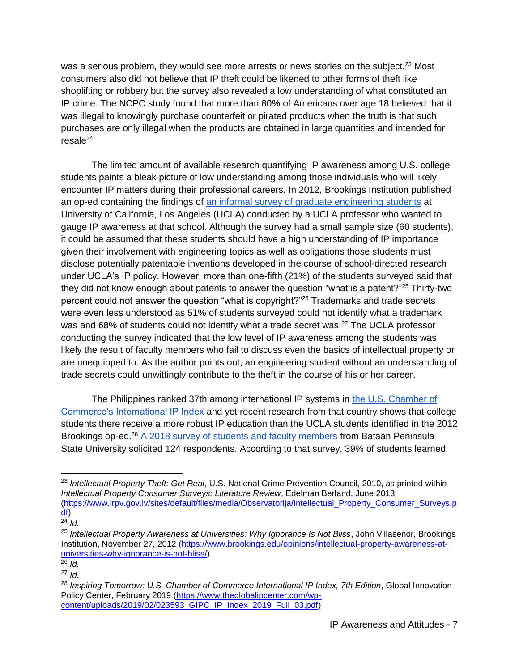was a serious problem, they would see more arrests or news stories on the subject.<sup>23</sup> Most consumers also did not believe that IP theft could be likened to other forms of theft like shoplifting or robbery but the survey also revealed a low understanding of what constituted an IP crime. The NCPC study found that more than 80% of Americans over age 18 believed that it was illegal to knowingly purchase counterfeit or pirated products when the truth is that such purchases are only illegal when the products are obtained in large quantities and intended for  $resale<sup>24</sup>$ 

The limited amount of available research quantifying IP awareness among U.S. college students paints a bleak picture of low understanding among those individuals who will likely encounter IP matters during their professional careers. In 2012, Brookings Institution published an op-ed containing the findings of [an informal survey of graduate engineering students](https://www.brookings.edu/opinions/intellectual-property-awareness-at-universities-why-ignorance-is-not-bliss/) at University of California, Los Angeles (UCLA) conducted by a UCLA professor who wanted to gauge IP awareness at that school. Although the survey had a small sample size (60 students), it could be assumed that these students should have a high understanding of IP importance given their involvement with engineering topics as well as obligations those students must disclose potentially patentable inventions developed in the course of school-directed research under UCLA's IP policy. However, more than one-fifth (21%) of the students surveyed said that they did not know enough about patents to answer the question "what is a patent?"<sup>25</sup> Thirty-two percent could not answer the question "what is copyright?"<sup>26</sup> Trademarks and trade secrets were even less understood as 51% of students surveyed could not identify what a trademark was and 68% of students could not identify what a trade secret was.<sup>27</sup> The UCLA professor conducting the survey indicated that the low level of IP awareness among the students was likely the result of faculty members who fail to discuss even the basics of intellectual property or are unequipped to. As the author points out, an engineering student without an understanding of trade secrets could unwittingly contribute to the theft in the course of his or her career.

The Philippines ranked 37th among international IP systems in [the U.S. Chamber of](https://www.theglobalipcenter.com/wp-content/uploads/2019/02/023593_GIPC_IP_Index_2019_Full_03.pdf)  [Commerce's International IP Index](https://www.theglobalipcenter.com/wp-content/uploads/2019/02/023593_GIPC_IP_Index_2019_Full_03.pdf) and yet recent research from that country shows that college students there receive a more robust IP education than the UCLA students identified in the 2012 Brookings op-ed.<sup>28</sup> [A 2018 survey of students and faculty members](https://knepublishing.com/index.php/Kne-Social/article/view/2390/5258) from Bataan Peninsula State University solicited 124 respondents. According to that survey, 39% of students learned

<sup>23</sup> *Intellectual Property Theft: Get Real*, U.S. National Crime Prevention Council, 2010, as printed within *Intellectual Property Consumer Surveys: Literature Review*, Edelman Berland, June 2013 [\(https://www.lrpv.gov.lv/sites/default/files/media/Observatorija/Intellectual\\_Property\\_Consumer\\_Surveys.p](https://www.lrpv.gov.lv/sites/default/files/media/Observatorija/Intellectual_Property_Consumer_Surveys.pdf) [df\)](https://www.lrpv.gov.lv/sites/default/files/media/Observatorija/Intellectual_Property_Consumer_Surveys.pdf)

 $\overline{24}$  *Id.* 

<sup>25</sup> *Intellectual Property Awareness at Universities: Why Ignorance Is Not Bliss*, John Villasenor, Brookings Institution, November 27, 2012 [\(https://www.brookings.edu/opinions/intellectual-property-awareness-at](file:///F:/(https:/www.brookings.edu/opinions/intellectual-property-awareness-at-universities-why-ignorance-is-not-bliss/)[universities-why-ignorance-is-not-bliss/\)](file:///F:/(https:/www.brookings.edu/opinions/intellectual-property-awareness-at-universities-why-ignorance-is-not-bliss/)

 $\overline{^{26}$  *Id.* 

<sup>27</sup> *Id.*

<sup>28</sup> *Inspiring Tomorrow: U.S. Chamber of Commerce International IP Index, 7th Edition*, Global Innovation Policy Center, February 2019 [\(https://www.theglobalipcenter.com/wp](https://www.theglobalipcenter.com/wp-content/uploads/2019/02/023593_GIPC_IP_Index_2019_Full_03.pdf)[content/uploads/2019/02/023593\\_GIPC\\_IP\\_Index\\_2019\\_Full\\_03.pdf\)](https://www.theglobalipcenter.com/wp-content/uploads/2019/02/023593_GIPC_IP_Index_2019_Full_03.pdf)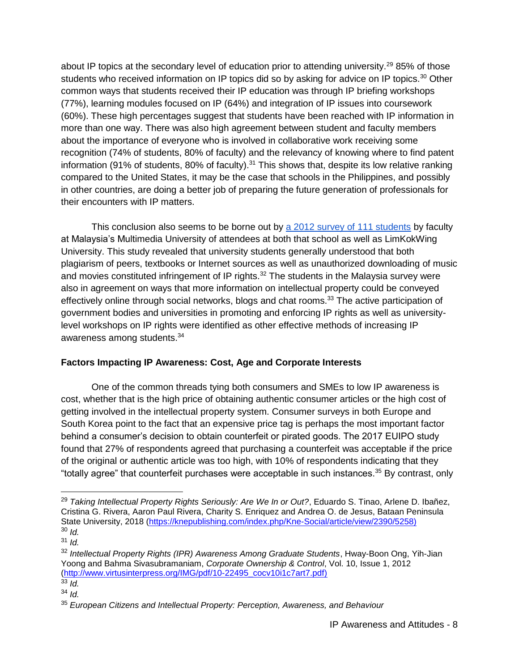about IP topics at the secondary level of education prior to attending university.<sup>29</sup> 85% of those students who received information on IP topics did so by asking for advice on IP topics.<sup>30</sup> Other common ways that students received their IP education was through IP briefing workshops (77%), learning modules focused on IP (64%) and integration of IP issues into coursework (60%). These high percentages suggest that students have been reached with IP information in more than one way. There was also high agreement between student and faculty members about the importance of everyone who is involved in collaborative work receiving some recognition (74% of students, 80% of faculty) and the relevancy of knowing where to find patent information (91% of students, 80% of faculty). $31$  This shows that, despite its low relative ranking compared to the United States, it may be the case that schools in the Philippines, and possibly in other countries, are doing a better job of preparing the future generation of professionals for their encounters with IP matters.

This conclusion also seems to be borne out by [a 2012 survey of 111 students](http://www.virtusinterpress.org/IMG/pdf/10-22495_cocv10i1c7art7.pdf) by faculty at Malaysia's Multimedia University of attendees at both that school as well as LimKokWing University. This study revealed that university students generally understood that both plagiarism of peers, textbooks or Internet sources as well as unauthorized downloading of music and movies constituted infringement of IP rights.<sup>32</sup> The students in the Malaysia survey were also in agreement on ways that more information on intellectual property could be conveyed effectively online through social networks, blogs and chat rooms.<sup>33</sup> The active participation of government bodies and universities in promoting and enforcing IP rights as well as universitylevel workshops on IP rights were identified as other effective methods of increasing IP awareness among students.<sup>34</sup>

### **Factors Impacting IP Awareness: Cost, Age and Corporate Interests**

One of the common threads tying both consumers and SMEs to low IP awareness is cost, whether that is the high price of obtaining authentic consumer articles or the high cost of getting involved in the intellectual property system. Consumer surveys in both Europe and South Korea point to the fact that an expensive price tag is perhaps the most important factor behind a consumer's decision to obtain counterfeit or pirated goods. The 2017 EUIPO study found that 27% of respondents agreed that purchasing a counterfeit was acceptable if the price of the original or authentic article was too high, with 10% of respondents indicating that they "totally agree" that counterfeit purchases were acceptable in such instances.<sup>35</sup> By contrast, only

<sup>29</sup> *Taking Intellectual Property Rights Seriously: Are We In or Out?*, Eduardo S. Tinao, Arlene D. Ibañez, Cristina G. Rivera, Aaron Paul Rivera, Charity S. Enriquez and Andrea O. de Jesus, Bataan Peninsula State University, 2018 [\(https://knepublishing.com/index.php/Kne-Social/article/view/2390/5258\)](https://knepublishing.com/index.php/Kne-Social/article/view/2390/5258)) <sup>30</sup> *Id.*

 $31$  *Id.* 

<sup>32</sup> *Intellectual Property Rights (IPR) Awareness Among Graduate Students*, Hway-Boon Ong, Yih-Jian Yoong and Bahma Sivasubramaniam, *Corporate Ownership & Control*, Vol. 10, Issue 1, 2012 [\(http://www.virtusinterpress.org/IMG/pdf/10-22495\\_cocv10i1c7art7.pdf\)](http://www.virtusinterpress.org/IMG/pdf/10-22495_cocv10i1c7art7.pdf))

 $33$  *Id.* 

<sup>34</sup> *Id.*

<sup>35</sup> *European Citizens and Intellectual Property: Perception, Awareness, and Behaviour*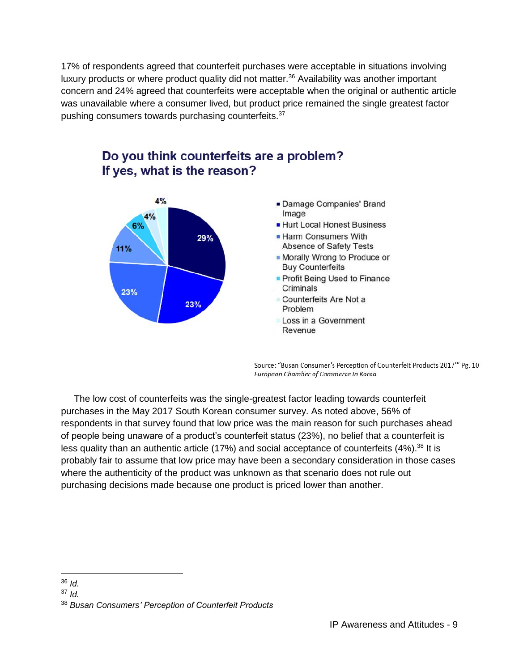17% of respondents agreed that counterfeit purchases were acceptable in situations involving luxury products or where product quality did not matter.<sup>36</sup> Availability was another important concern and 24% agreed that counterfeits were acceptable when the original or authentic article was unavailable where a consumer lived, but product price remained the single greatest factor pushing consumers towards purchasing counterfeits.<sup>37</sup>



Do you think counterfeits are a problem? If yes, what is the reason?

> Source: "Busan Consumer's Perception of Counterfeit Products 2017" Pg. 10 European Chamber of Commerce in Korea

 The low cost of counterfeits was the single-greatest factor leading towards counterfeit purchases in the May 2017 South Korean consumer survey. As noted above, 56% of respondents in that survey found that low price was the main reason for such purchases ahead of people being unaware of a product's counterfeit status (23%), no belief that a counterfeit is less quality than an authentic article (17%) and social acceptance of counterfeits  $(4\%)$ .<sup>38</sup> It is probably fair to assume that low price may have been a secondary consideration in those cases where the authenticity of the product was unknown as that scenario does not rule out purchasing decisions made because one product is priced lower than another.

 $\overline{a}$ <sup>36</sup> *Id.*

<sup>37</sup> *Id.*

<sup>38</sup> *Busan Consumers' Perception of Counterfeit Products*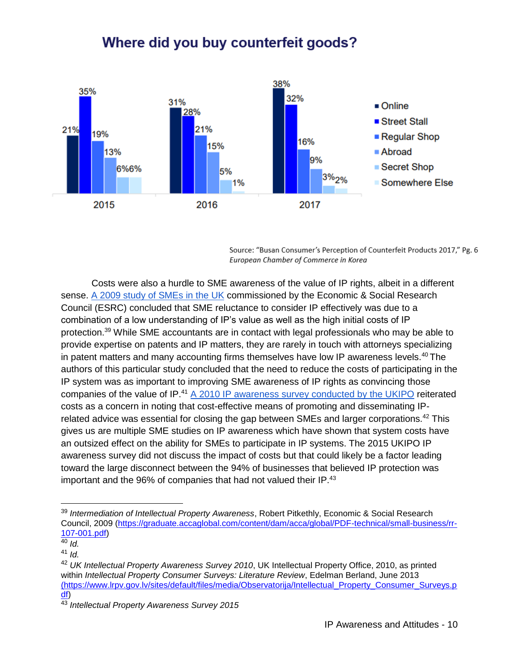## Where did you buy counterfeit goods?



Source: "Busan Consumer's Perception of Counterfeit Products 2017," Pg. 6 European Chamber of Commerce in Korea

Costs were also a hurdle to SME awareness of the value of IP rights, albeit in a different sense. [A 2009 study of SMEs in the UK](https://graduate.accaglobal.com/content/dam/acca/global/PDF-technical/small-business/rr-107-001.pdf) commissioned by the Economic & Social Research Council (ESRC) concluded that SME reluctance to consider IP effectively was due to a combination of a low understanding of IP's value as well as the high initial costs of IP protection.<sup>39</sup> While SME accountants are in contact with legal professionals who may be able to provide expertise on patents and IP matters, they are rarely in touch with attorneys specializing in patent matters and many accounting firms themselves have low IP awareness levels.<sup>40</sup> The authors of this particular study concluded that the need to reduce the costs of participating in the IP system was as important to improving SME awareness of IP rights as convincing those companies of the value of IP.<sup>41</sup> [A 2010 IP awareness survey conducted by](https://www.lrpv.gov.lv/sites/default/files/media/Observatorija/Intellectual_Property_Consumer_Surveys.pdf) the UKIPO reiterated costs as a concern in noting that cost-effective means of promoting and disseminating IPrelated advice was essential for closing the gap between SMEs and larger corporations.<sup>42</sup> This gives us are multiple SME studies on IP awareness which have shown that system costs have an outsized effect on the ability for SMEs to participate in IP systems. The 2015 UKIPO IP awareness survey did not discuss the impact of costs but that could likely be a factor leading toward the large disconnect between the 94% of businesses that believed IP protection was important and the 96% of companies that had not valued their IP.<sup>43</sup>

<sup>39</sup> *Intermediation of Intellectual Property Awareness*, Robert Pitkethly, Economic & Social Research Council, 2009 [\(https://graduate.accaglobal.com/content/dam/acca/global/PDF-technical/small-business/rr-](https://graduate.accaglobal.com/content/dam/acca/global/PDF-technical/small-business/rr-107-001.pdf)[107-001.pdf\)](https://graduate.accaglobal.com/content/dam/acca/global/PDF-technical/small-business/rr-107-001.pdf)

 $\overline{40}$  *Id.* 

<sup>41</sup> *Id.*

<sup>42</sup> *UK Intellectual Property Awareness Survey 2010*, UK Intellectual Property Office, 2010, as printed within *Intellectual Property Consumer Surveys: Literature Review*, Edelman Berland, June 2013 [\(https://www.lrpv.gov.lv/sites/default/files/media/Observatorija/Intellectual\\_Property\\_Consumer\\_Surveys.p](file:///F:/(https:/www.lrpv.gov.lv/sites/default/files/media/Observatorija/Intellectual_Property_Consumer_Surveys.pdf) [df\)](file:///F:/(https:/www.lrpv.gov.lv/sites/default/files/media/Observatorija/Intellectual_Property_Consumer_Surveys.pdf)

<sup>43</sup> *Intellectual Property Awareness Survey 2015*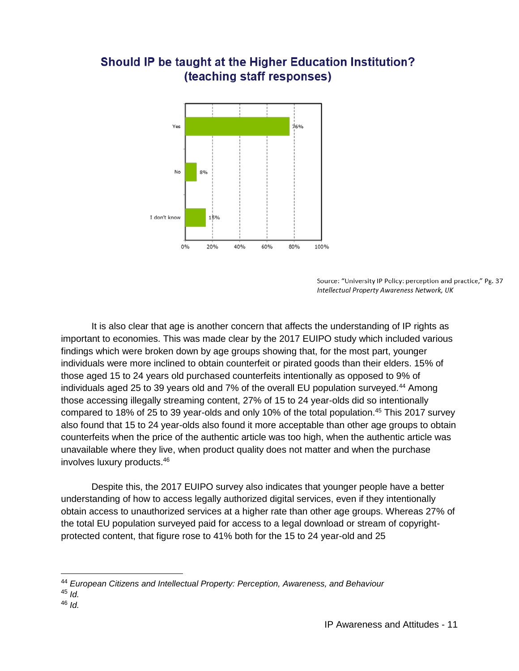

## Should IP be taught at the Higher Education Institution? (teaching staff responses)

Source: "University IP Policy: perception and practice," Pg. 37 Intellectual Property Awareness Network, UK

It is also clear that age is another concern that affects the understanding of IP rights as important to economies. This was made clear by the 2017 EUIPO study which included various findings which were broken down by age groups showing that, for the most part, younger individuals were more inclined to obtain counterfeit or pirated goods than their elders. 15% of those aged 15 to 24 years old purchased counterfeits intentionally as opposed to 9% of individuals aged 25 to 39 years old and 7% of the overall EU population surveyed.<sup>44</sup> Among those accessing illegally streaming content, 27% of 15 to 24 year-olds did so intentionally compared to 18% of 25 to 39 year-olds and only 10% of the total population.<sup>45</sup> This 2017 survey also found that 15 to 24 year-olds also found it more acceptable than other age groups to obtain counterfeits when the price of the authentic article was too high, when the authentic article was unavailable where they live, when product quality does not matter and when the purchase involves luxury products.<sup>46</sup>

Despite this, the 2017 EUIPO survey also indicates that younger people have a better understanding of how to access legally authorized digital services, even if they intentionally obtain access to unauthorized services at a higher rate than other age groups. Whereas 27% of the total EU population surveyed paid for access to a legal download or stream of copyrightprotected content, that figure rose to 41% both for the 15 to 24 year-old and 25

 $\overline{a}$ 

<sup>46</sup> *Id.*

<sup>44</sup> *European Citizens and Intellectual Property: Perception, Awareness, and Behaviour*

<sup>45</sup> *Id.*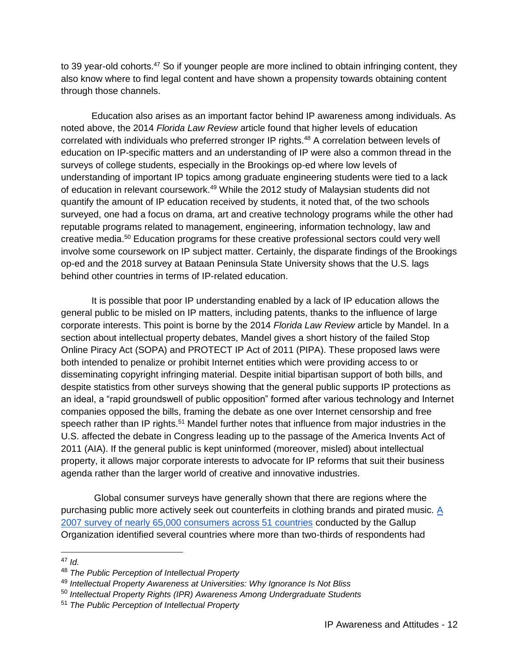to 39 year-old cohorts.<sup>47</sup> So if younger people are more inclined to obtain infringing content, they also know where to find legal content and have shown a propensity towards obtaining content through those channels.

Education also arises as an important factor behind IP awareness among individuals. As noted above, the 2014 *Florida Law Review* article found that higher levels of education correlated with individuals who preferred stronger IP rights.<sup>48</sup> A correlation between levels of education on IP-specific matters and an understanding of IP were also a common thread in the surveys of college students, especially in the Brookings op-ed where low levels of understanding of important IP topics among graduate engineering students were tied to a lack of education in relevant coursework.<sup>49</sup> While the 2012 study of Malaysian students did not quantify the amount of IP education received by students, it noted that, of the two schools surveyed, one had a focus on drama, art and creative technology programs while the other had reputable programs related to management, engineering, information technology, law and creative media.<sup>50</sup> Education programs for these creative professional sectors could very well involve some coursework on IP subject matter. Certainly, the disparate findings of the Brookings op-ed and the 2018 survey at Bataan Peninsula State University shows that the U.S. lags behind other countries in terms of IP-related education.

It is possible that poor IP understanding enabled by a lack of IP education allows the general public to be misled on IP matters, including patents, thanks to the influence of large corporate interests. This point is borne by the 2014 *Florida Law Review* article by Mandel. In a section about intellectual property debates, Mandel gives a short history of the failed Stop Online Piracy Act (SOPA) and PROTECT IP Act of 2011 (PIPA). These proposed laws were both intended to penalize or prohibit Internet entities which were providing access to or disseminating copyright infringing material. Despite initial bipartisan support of both bills, and despite statistics from other surveys showing that the general public supports IP protections as an ideal, a "rapid groundswell of public opposition" formed after various technology and Internet companies opposed the bills, framing the debate as one over Internet censorship and free speech rather than IP rights.<sup>51</sup> Mandel further notes that influence from major industries in the U.S. affected the debate in Congress leading up to the passage of the America Invents Act of 2011 (AIA). If the general public is kept uninformed (moreover, misled) about intellectual property, it allows major corporate interests to advocate for IP reforms that suit their business agenda rather than the larger world of creative and innovative industries.

Global consumer surveys have generally shown that there are regions where the purchasing public more actively seek out counterfeits in clothing brands and pirated music. [A](https://www.lrpv.gov.lv/sites/default/files/media/Observatorija/Intellectual_Property_Consumer_Surveys.pdf)  [2007 survey of nearly 65,000 consumers across 51 countries](https://www.lrpv.gov.lv/sites/default/files/media/Observatorija/Intellectual_Property_Consumer_Surveys.pdf) conducted by the Gallup Organization identified several countries where more than two-thirds of respondents had

<sup>47</sup> *Id.*

<sup>48</sup> *The Public Perception of Intellectual Property*

<sup>49</sup> *Intellectual Property Awareness at Universities: Why Ignorance Is Not Bliss*

<sup>50</sup> *Intellectual Property Rights (IPR) Awareness Among Undergraduate Students*

<sup>51</sup> *The Public Perception of Intellectual Property*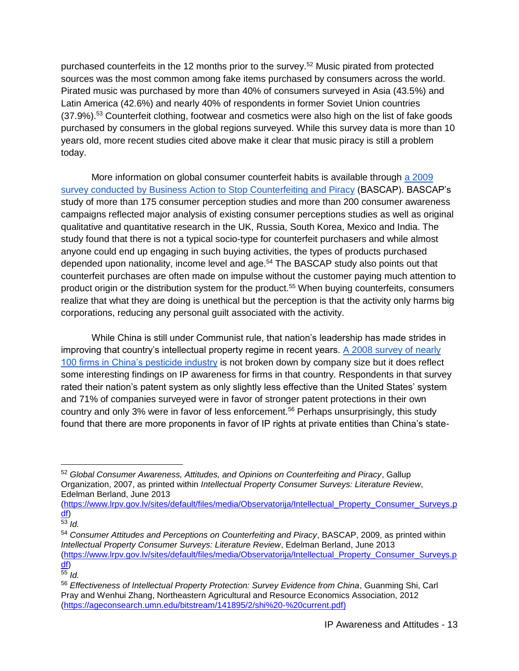purchased counterfeits in the 12 months prior to the survey.<sup>52</sup> Music pirated from protected sources was the most common among fake items purchased by consumers across the world. Pirated music was purchased by more than 40% of consumers surveyed in Asia (43.5%) and Latin America (42.6%) and nearly 40% of respondents in former Soviet Union countries (37.9%).<sup>53</sup> Counterfeit clothing, footwear and cosmetics were also high on the list of fake goods purchased by consumers in the global regions surveyed. While this survey data is more than 10 years old, more recent studies cited above make it clear that music piracy is still a problem today.

More information on global consumer counterfeit habits is available through [a 2009](https://www.lrpv.gov.lv/sites/default/files/media/Observatorija/Intellectual_Property_Consumer_Surveys.pdf)  [survey conducted by Business Action to Stop Counterfeiting and Piracy](https://www.lrpv.gov.lv/sites/default/files/media/Observatorija/Intellectual_Property_Consumer_Surveys.pdf) (BASCAP). BASCAP's study of more than 175 consumer perception studies and more than 200 consumer awareness campaigns reflected major analysis of existing consumer perceptions studies as well as original qualitative and quantitative research in the UK, Russia, South Korea, Mexico and India. The study found that there is not a typical socio-type for counterfeit purchasers and while almost anyone could end up engaging in such buying activities, the types of products purchased depended upon nationality, income level and age.<sup>54</sup> The BASCAP study also points out that counterfeit purchases are often made on impulse without the customer paying much attention to product origin or the distribution system for the product.<sup>55</sup> When buying counterfeits, consumers realize that what they are doing is unethical but the perception is that the activity only harms big corporations, reducing any personal guilt associated with the activity.

While China is still under Communist rule, that nation's leadership has made strides in improving that country's intellectual property regime in recent years. [A 2008 survey of nearly](https://ageconsearch.umn.edu/bitstream/141895/2/shi%20-%20current.pdf)  [100 firms in China's pesticide industry](https://ageconsearch.umn.edu/bitstream/141895/2/shi%20-%20current.pdf) is not broken down by company size but it does reflect some interesting findings on IP awareness for firms in that country. Respondents in that survey rated their nation's patent system as only slightly less effective than the United States' system and 71% of companies surveyed were in favor of stronger patent protections in their own country and only 3% were in favor of less enforcement.<sup>56</sup> Perhaps unsurprisingly, this study found that there are more proponents in favor of IP rights at private entities than China's state-

<sup>52</sup> *Global Consumer Awareness, Attitudes, and Opinions on Counterfeiting and Piracy*, Gallup Organization, 2007, as printed within *Intellectual Property Consumer Surveys: Literature Review*, Edelman Berland, June 2013

[<sup>\(</sup>https://www.lrpv.gov.lv/sites/default/files/media/Observatorija/Intellectual\\_Property\\_Consumer\\_Surveys.p](https://www.lrpv.gov.lv/sites/default/files/media/Observatorija/Intellectual_Property_Consumer_Surveys.pdf) [df\)](https://www.lrpv.gov.lv/sites/default/files/media/Observatorija/Intellectual_Property_Consumer_Surveys.pdf)

<sup>53</sup> *Id.*

<sup>54</sup> *Consumer Attitudes and Perceptions on Counterfeiting and Piracy*, BASCAP, 2009, as printed within *Intellectual Property Consumer Surveys: Literature Review*, Edelman Berland, June 2013 [\(https://www.lrpv.gov.lv/sites/default/files/media/Observatorija/Intellectual\\_Property\\_Consumer\\_Surveys.p](https://www.lrpv.gov.lv/sites/default/files/media/Observatorija/Intellectual_Property_Consumer_Surveys.pdf) [df\)](https://www.lrpv.gov.lv/sites/default/files/media/Observatorija/Intellectual_Property_Consumer_Surveys.pdf)

 $\frac{1}{55}$  *Id.* 

<sup>56</sup> *Effectiveness of Intellectual Property Protection: Survey Evidence from China*, Guanming Shi, Carl Pray and Wenhui Zhang, Northeastern Agricultural and Resource Economics Association, 2012 [\(https://ageconsearch.umn.edu/bitstream/141895/2/shi%20-%20current.pdf\)](https://ageconsearch.umn.edu/bitstream/141895/2/shi%20-%20current.pdf))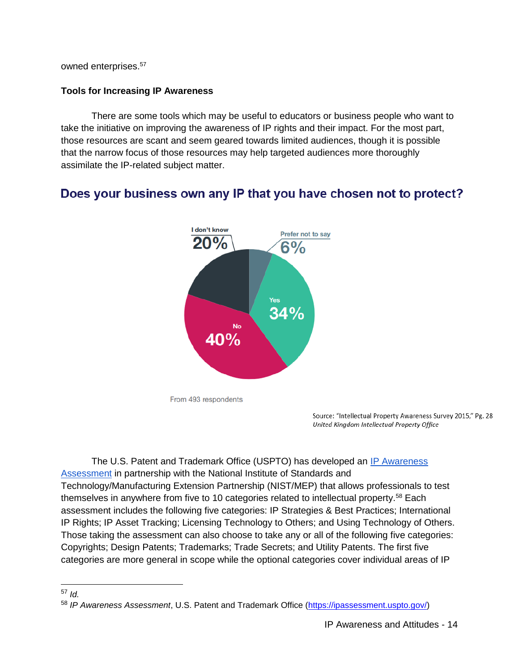owned enterprises.<sup>57</sup>

### **Tools for Increasing IP Awareness**

There are some tools which may be useful to educators or business people who want to take the initiative on improving the awareness of IP rights and their impact. For the most part, those resources are scant and seem geared towards limited audiences, though it is possible that the narrow focus of those resources may help targeted audiences more thoroughly assimilate the IP-related subject matter.

## Does your business own any IP that you have chosen not to protect?



Source: "Intellectual Property Awareness Survey 2015," Pg. 28 United Kingdom Intellectual Property Office

The U.S. Patent and Trademark Office (USPTO) has developed an **IP Awareness** [Assessment](https://ipassessment.uspto.gov/) in partnership with the National Institute of Standards and Technology/Manufacturing Extension Partnership (NIST/MEP) that allows professionals to test themselves in anywhere from five to 10 categories related to intellectual property.<sup>58</sup> Each assessment includes the following five categories: IP Strategies & Best Practices; International IP Rights; IP Asset Tracking; Licensing Technology to Others; and Using Technology of Others. Those taking the assessment can also choose to take any or all of the following five categories: Copyrights; Design Patents; Trademarks; Trade Secrets; and Utility Patents. The first five categories are more general in scope while the optional categories cover individual areas of IP

<sup>57</sup> *Id.*

<sup>58</sup> *IP Awareness Assessment*, U.S. Patent and Trademark Office [\(https://ipassessment.uspto.gov/\)](https://ipassessment.uspto.gov/)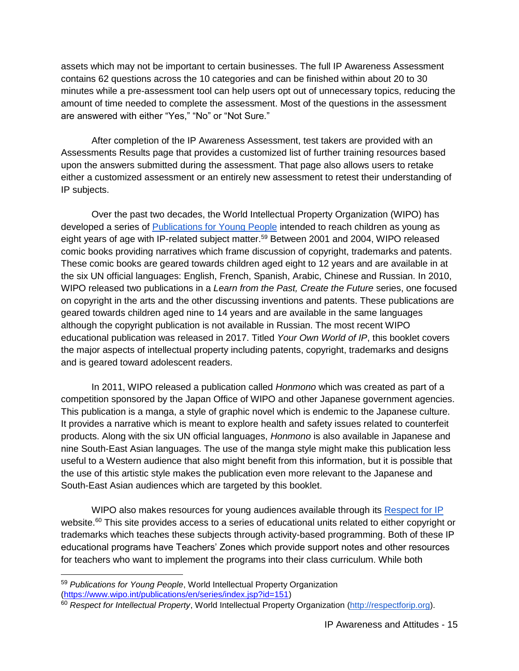assets which may not be important to certain businesses. The full IP Awareness Assessment contains 62 questions across the 10 categories and can be finished within about 20 to 30 minutes while a pre-assessment tool can help users opt out of unnecessary topics, reducing the amount of time needed to complete the assessment. Most of the questions in the assessment are answered with either "Yes," "No" or "Not Sure."

After completion of the IP Awareness Assessment, test takers are provided with an Assessments Results page that provides a customized list of further training resources based upon the answers submitted during the assessment. That page also allows users to retake either a customized assessment or an entirely new assessment to retest their understanding of IP subjects.

Over the past two decades, the World Intellectual Property Organization (WIPO) has developed a series of [Publications for Young People](https://www.wipo.int/publications/en/series/index.jsp?id=151) intended to reach children as young as eight years of age with IP-related subject matter.<sup>59</sup> Between 2001 and 2004, WIPO released comic books providing narratives which frame discussion of copyright, trademarks and patents. These comic books are geared towards children aged eight to 12 years and are available in at the six UN official languages: English, French, Spanish, Arabic, Chinese and Russian. In 2010, WIPO released two publications in a *Learn from the Past, Create the Future* series, one focused on copyright in the arts and the other discussing inventions and patents. These publications are geared towards children aged nine to 14 years and are available in the same languages although the copyright publication is not available in Russian. The most recent WIPO educational publication was released in 2017. Titled *Your Own World of IP*, this booklet covers the major aspects of intellectual property including patents, copyright, trademarks and designs and is geared toward adolescent readers.

In 2011, WIPO released a publication called *Honmono* which was created as part of a competition sponsored by the Japan Office of WIPO and other Japanese government agencies. This publication is a manga, a style of graphic novel which is endemic to the Japanese culture. It provides a narrative which is meant to explore health and safety issues related to counterfeit products. Along with the six UN official languages, *Honmono* is also available in Japanese and nine South-East Asian languages. The use of the manga style might make this publication less useful to a Western audience that also might benefit from this information, but it is possible that the use of this artistic style makes the publication even more relevant to the Japanese and South-East Asian audiences which are targeted by this booklet.

WIPO also makes resources for young audiences available through its [Respect for IP](http://respectforip.org/) website.<sup>60</sup> This site provides access to a series of educational units related to either copyright or trademarks which teaches these subjects through activity-based programming. Both of these IP educational programs have Teachers' Zones which provide support notes and other resources for teachers who want to implement the programs into their class curriculum. While both

<sup>59</sup> *Publications for Young People*, World Intellectual Property Organization [\(https://www.wipo.int/publications/en/series/index.jsp?id=151\)](https://www.wipo.int/publications/en/series/index.jsp?id=151)

<sup>60</sup> *Respect for Intellectual Property*, World Intellectual Property Organization [\(http://respectforip.org\)](http://respectforip.org/).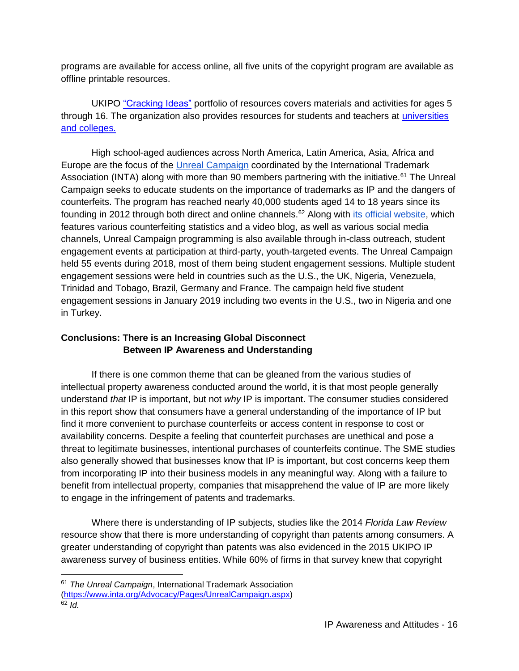programs are available for access online, all five units of the copyright program are available as offline printable resources.

UKIPO ["Cracking Ideas"](https://crackingideas.com/) portfolio of resources covers materials and activities for ages 5 through 16. The organization also provides resources for students and teachers at [universities](https://www.gov.uk/government/news/ipo-launch-new-ip-resources-for-universities-and-colleges)  [and colleges.](https://www.gov.uk/government/news/ipo-launch-new-ip-resources-for-universities-and-colleges)

High school-aged audiences across North America, Latin America, Asia, Africa and Europe are the focus of the [Unreal Campaign](https://www.inta.org/Advocacy/Pages/UnrealCampaign.aspx) coordinated by the International Trademark Association (INTA) along with more than 90 members partnering with the initiative.<sup>61</sup> The Unreal Campaign seeks to educate students on the importance of trademarks as IP and the dangers of counterfeits. The program has reached nearly 40,000 students aged 14 to 18 years since its founding in 2012 through both direct and online channels.<sup>62</sup> Along with [its official website,](https://www.unrealcampaign.com/learn-more) which features various counterfeiting statistics and a video blog, as well as various social media channels, Unreal Campaign programming is also available through in-class outreach, student engagement events at participation at third-party, youth-targeted events. The Unreal Campaign held 55 events during 2018, most of them being student engagement sessions. Multiple student engagement sessions were held in countries such as the U.S., the UK, Nigeria, Venezuela, Trinidad and Tobago, Brazil, Germany and France. The campaign held five student engagement sessions in January 2019 including two events in the U.S., two in Nigeria and one in Turkey.

### **Conclusions: There is an Increasing Global Disconnect Between IP Awareness and Understanding**

If there is one common theme that can be gleaned from the various studies of intellectual property awareness conducted around the world, it is that most people generally understand *that* IP is important, but not *why* IP is important. The consumer studies considered in this report show that consumers have a general understanding of the importance of IP but find it more convenient to purchase counterfeits or access content in response to cost or availability concerns. Despite a feeling that counterfeit purchases are unethical and pose a threat to legitimate businesses, intentional purchases of counterfeits continue. The SME studies also generally showed that businesses know that IP is important, but cost concerns keep them from incorporating IP into their business models in any meaningful way. Along with a failure to benefit from intellectual property, companies that misapprehend the value of IP are more likely to engage in the infringement of patents and trademarks.

Where there is understanding of IP subjects, studies like the 2014 *Florida Law Review* resource show that there is more understanding of copyright than patents among consumers. A greater understanding of copyright than patents was also evidenced in the 2015 UKIPO IP awareness survey of business entities. While 60% of firms in that survey knew that copyright

<sup>61</sup> *The Unreal Campaign*, International Trademark Association [\(https://www.inta.org/Advocacy/Pages/UnrealCampaign.aspx\)](https://www.inta.org/Advocacy/Pages/UnrealCampaign.aspx)  $62$  *Id.*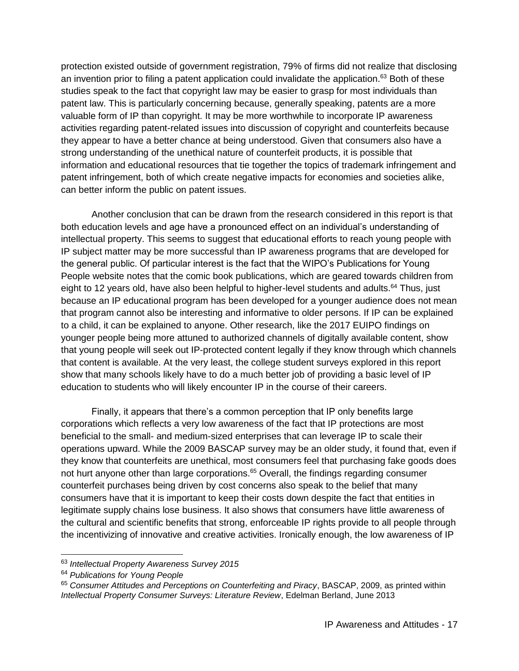protection existed outside of government registration, 79% of firms did not realize that disclosing an invention prior to filing a patent application could invalidate the application.<sup>63</sup> Both of these studies speak to the fact that copyright law may be easier to grasp for most individuals than patent law. This is particularly concerning because, generally speaking, patents are a more valuable form of IP than copyright. It may be more worthwhile to incorporate IP awareness activities regarding patent-related issues into discussion of copyright and counterfeits because they appear to have a better chance at being understood. Given that consumers also have a strong understanding of the unethical nature of counterfeit products, it is possible that information and educational resources that tie together the topics of trademark infringement and patent infringement, both of which create negative impacts for economies and societies alike, can better inform the public on patent issues.

Another conclusion that can be drawn from the research considered in this report is that both education levels and age have a pronounced effect on an individual's understanding of intellectual property. This seems to suggest that educational efforts to reach young people with IP subject matter may be more successful than IP awareness programs that are developed for the general public. Of particular interest is the fact that the WIPO's Publications for Young People website notes that the comic book publications, which are geared towards children from eight to 12 years old, have also been helpful to higher-level students and adults. $64$  Thus, just because an IP educational program has been developed for a younger audience does not mean that program cannot also be interesting and informative to older persons. If IP can be explained to a child, it can be explained to anyone. Other research, like the 2017 EUIPO findings on younger people being more attuned to authorized channels of digitally available content, show that young people will seek out IP-protected content legally if they know through which channels that content is available. At the very least, the college student surveys explored in this report show that many schools likely have to do a much better job of providing a basic level of IP education to students who will likely encounter IP in the course of their careers.

Finally, it appears that there's a common perception that IP only benefits large corporations which reflects a very low awareness of the fact that IP protections are most beneficial to the small- and medium-sized enterprises that can leverage IP to scale their operations upward. While the 2009 BASCAP survey may be an older study, it found that, even if they know that counterfeits are unethical, most consumers feel that purchasing fake goods does not hurt anyone other than large corporations.<sup>65</sup> Overall, the findings regarding consumer counterfeit purchases being driven by cost concerns also speak to the belief that many consumers have that it is important to keep their costs down despite the fact that entities in legitimate supply chains lose business. It also shows that consumers have little awareness of the cultural and scientific benefits that strong, enforceable IP rights provide to all people through the incentivizing of innovative and creative activities. Ironically enough, the low awareness of IP

<sup>63</sup> *Intellectual Property Awareness Survey 2015*

<sup>64</sup> *Publications for Young People*

<sup>65</sup> *Consumer Attitudes and Perceptions on Counterfeiting and Piracy*, BASCAP, 2009, as printed within *Intellectual Property Consumer Surveys: Literature Review*, Edelman Berland, June 2013